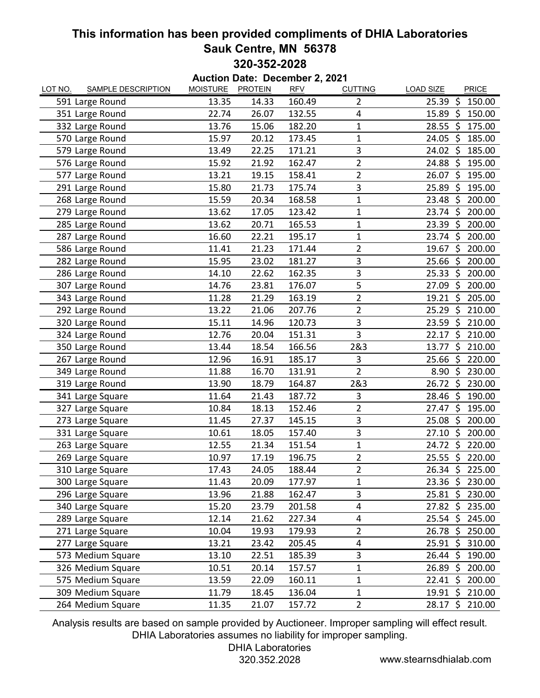## **This information has been provided compliments of DHIA Laboratories Sauk Centre, MN 56378 320-352-2028**

| Auction Date: December 2, 2021 |                           |                 |                |            |                |                               |  |  |  |
|--------------------------------|---------------------------|-----------------|----------------|------------|----------------|-------------------------------|--|--|--|
| LOT NO.                        | <b>SAMPLE DESCRIPTION</b> | <b>MOISTURE</b> | <b>PROTEIN</b> | <b>RFV</b> | <b>CUTTING</b> | <b>LOAD SIZE</b><br>PRICE     |  |  |  |
|                                | 591 Large Round           | 13.35           | 14.33          | 160.49     | 2              | $\zeta$<br>25.39<br>150.00    |  |  |  |
|                                | 351 Large Round           | 22.74           | 26.07          | 132.55     | 4              | 15.89<br>\$<br>150.00         |  |  |  |
|                                | 332 Large Round           | 13.76           | 15.06          | 182.20     | $\mathbf 1$    | 28.55<br>$\zeta$<br>175.00    |  |  |  |
|                                | 570 Large Round           | 15.97           | 20.12          | 173.45     | 1              | 24.05<br>\$<br>185.00         |  |  |  |
|                                | 579 Large Round           | 13.49           | 22.25          | 171.21     | 3              | 24.02<br>Ś.<br>185.00         |  |  |  |
|                                | 576 Large Round           | 15.92           | 21.92          | 162.47     | $\overline{2}$ | 24.88<br>195.00<br>Ŝ.         |  |  |  |
|                                | 577 Large Round           | 13.21           | 19.15          | 158.41     | $\overline{2}$ | \$<br>26.07<br>195.00         |  |  |  |
|                                | 291 Large Round           | 15.80           | 21.73          | 175.74     | 3              | \$<br>25.89<br>195.00         |  |  |  |
|                                | 268 Large Round           | 15.59           | 20.34          | 168.58     | $\mathbf 1$    | 23.48<br>\$<br>200.00         |  |  |  |
|                                | 279 Large Round           | 13.62           | 17.05          | 123.42     | $\mathbf 1$    | 23.74<br>\$<br>200.00         |  |  |  |
|                                | 285 Large Round           | 13.62           | 20.71          | 165.53     | 1              | $\zeta$<br>23.39<br>200.00    |  |  |  |
|                                | 287 Large Round           | 16.60           | 22.21          | 195.17     | 1              | 200.00<br>$23.74 \text{ }$    |  |  |  |
|                                | 586 Large Round           | 11.41           | 21.23          | 171.44     | $\overline{2}$ | 19.67<br>\$<br>200.00         |  |  |  |
|                                | 282 Large Round           | 15.95           | 23.02          | 181.27     | 3              | \$<br>25.66<br>200.00         |  |  |  |
|                                | 286 Large Round           | 14.10           | 22.62          | 162.35     | 3              | \$<br>200.00<br>25.33         |  |  |  |
|                                | 307 Large Round           | 14.76           | 23.81          | 176.07     | 5              | 27.09<br>\$<br>200.00         |  |  |  |
|                                | 343 Large Round           | 11.28           | 21.29          | 163.19     | 2              | 19.21<br>\$<br>205.00         |  |  |  |
|                                | 292 Large Round           | 13.22           | 21.06          | 207.76     | $\overline{2}$ | \$<br>25.29<br>210.00         |  |  |  |
|                                | 320 Large Round           | 15.11           | 14.96          | 120.73     | 3              | 23.59<br>\$<br>210.00         |  |  |  |
|                                | 324 Large Round           | 12.76           | 20.04          | 151.31     | 3              | \$<br>210.00<br>22.17         |  |  |  |
|                                | 350 Large Round           | 13.44           | 18.54          | 166.56     | 2&3            | $\zeta$<br>13.77<br>210.00    |  |  |  |
|                                | 267 Large Round           | 12.96           | 16.91          | 185.17     | 3              | 25.66<br>220.00<br>\$         |  |  |  |
|                                | 349 Large Round           | 11.88           | 16.70          | 131.91     | $\overline{2}$ | \$<br>8.90<br>230.00          |  |  |  |
|                                | 319 Large Round           | 13.90           | 18.79          | 164.87     | 2&3            | -\$<br>26.72<br>230.00        |  |  |  |
|                                | 341 Large Square          | 11.64           | 21.43          | 187.72     | 3              | \$<br>28.46<br>190.00         |  |  |  |
|                                | 327 Large Square          | 10.84           | 18.13          | 152.46     | $\overline{2}$ | \$<br>27.47<br>195.00         |  |  |  |
|                                | 273 Large Square          | 11.45           | 27.37          | 145.15     | 3              | \$<br>25.08<br>200.00         |  |  |  |
|                                | 331 Large Square          | 10.61           | 18.05          | 157.40     | 3              | $\zeta$<br>27.10<br>200.00    |  |  |  |
|                                | 263 Large Square          | 12.55           | 21.34          | 151.54     | 1              | \$<br>24.72<br>220.00         |  |  |  |
|                                | 269 Large Square          | 10.97           | 17.19          | 196.75     | $\overline{2}$ | $\zeta$<br>25.55<br>220.00    |  |  |  |
|                                | 310 Large Square          | 17.43           | 24.05          | 188.44     | 2              | 26.34 \$ 225.00               |  |  |  |
|                                | 300 Large Square          | 11.43           | 20.09          | 177.97     | 1              | $23.36 \; \zeta$<br>230.00    |  |  |  |
|                                | 296 Large Square          | 13.96           | 21.88          | 162.47     | 3              | $25.81 \; \simeq$<br>230.00   |  |  |  |
|                                | 340 Large Square          | 15.20           | 23.79          | 201.58     | 4              | $27.82 \div$<br>235.00        |  |  |  |
|                                | 289 Large Square          | 12.14           | 21.62          | 227.34     | 4              | $25.54$ \$<br>245.00          |  |  |  |
|                                | 271 Large Square          | 10.04           | 19.93          | 179.93     | $\overline{2}$ | 26.78 \$<br>250.00            |  |  |  |
|                                | 277 Large Square          | 13.21           | 23.42          | 205.45     | 4              | 25.91 \$ 310.00               |  |  |  |
|                                | 573 Medium Square         | 13.10           | 22.51          | 185.39     | 3              | $26.44 \; \zeta$<br>190.00    |  |  |  |
|                                | 326 Medium Square         | 10.51           | 20.14          | 157.57     | $\mathbf 1$    | 26.89<br>\$<br>200.00         |  |  |  |
|                                | 575 Medium Square         | 13.59           | 22.09          | 160.11     | 1              | $22.41 \; \text{S}$<br>200.00 |  |  |  |
|                                | 309 Medium Square         | 11.79           | 18.45          | 136.04     | 1              | 19.91<br>\$<br>210.00         |  |  |  |
|                                | 264 Medium Square         | 11.35           | 21.07          | 157.72     | $\overline{2}$ | 28.17 \$ 210.00               |  |  |  |

Analysis results are based on sample provided by Auctioneer. Improper sampling will effect result. DHIA Laboratories assumes no liability for improper sampling.

DHIA Laboratories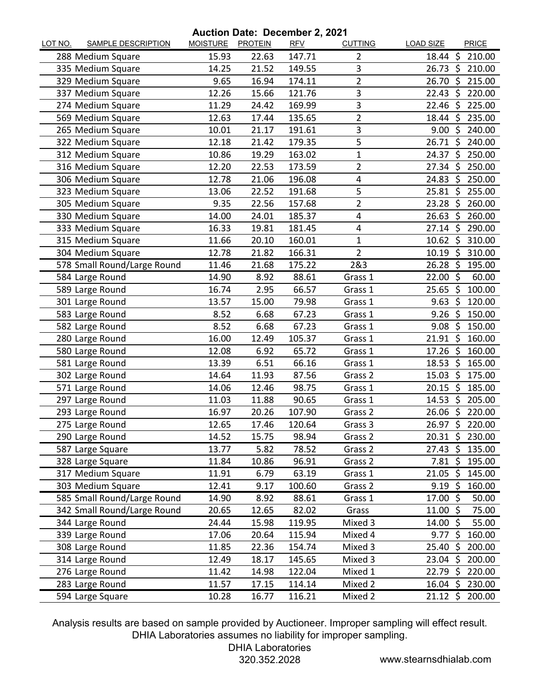**Auction Date: December 2, 2021**

| LOT NO. | <b>SAMPLE DESCRIPTION</b>   | <u>MOISTURE</u> | CHUII DAIG. DECENIDEI 4, 2021<br><b>PROTEIN</b> | <b>RFV</b> | <b>CUTTING</b> | <b>LOAD SIZE</b>            | <b>PRICE</b>    |
|---------|-----------------------------|-----------------|-------------------------------------------------|------------|----------------|-----------------------------|-----------------|
|         | 288 Medium Square           | 15.93           | 22.63                                           | 147.71     | $\overline{2}$ | 18.44<br>-S                 | 210.00          |
|         | 335 Medium Square           | 14.25           | 21.52                                           | 149.55     | 3              | $26.73 \; \text{S}$         | 210.00          |
|         | 329 Medium Square           | 9.65            | 16.94                                           | 174.11     | 2              | 26.70<br>S.                 | 215.00          |
|         | 337 Medium Square           | 12.26           | 15.66                                           | 121.76     | 3              | Ś<br>22.43                  | 220.00          |
|         | 274 Medium Square           | 11.29           | 24.42                                           | 169.99     | 3              | 22.46 \$                    | 225.00          |
|         | 569 Medium Square           | 12.63           | 17.44                                           | 135.65     | $\overline{2}$ | 18.44<br>\$                 | 235.00          |
|         | 265 Medium Square           | 10.01           | 21.17                                           | 191.61     | 3              | Ś<br>9.00                   | 240.00          |
|         | 322 Medium Square           | 12.18           | 21.42                                           | 179.35     | 5              | $26.71 \; \text{S}$         | 240.00          |
|         | 312 Medium Square           | 10.86           | 19.29                                           | 163.02     | 1              | 24.37<br>-\$                | 250.00          |
|         | 316 Medium Square           | 12.20           | 22.53                                           | 173.59     | $\overline{2}$ | \$<br>27.34                 | 250.00          |
|         | 306 Medium Square           | 12.78           | 21.06                                           | 196.08     | 4              | 24.83 \$                    | 250.00          |
|         | 323 Medium Square           | 13.06           | 22.52                                           | 191.68     | 5              | 25.81<br>\$                 | 255.00          |
|         | 305 Medium Square           | 9.35            | 22.56                                           | 157.68     | 2              | 23.28<br>\$                 | 260.00          |
|         | 330 Medium Square           | 14.00           | 24.01                                           | 185.37     | 4              | S.<br>26.63                 | 260.00          |
|         | 333 Medium Square           | 16.33           | 19.81                                           | 181.45     | 4              | 27.14<br>\$                 | 290.00          |
|         | 315 Medium Square           | 11.66           | 20.10                                           | 160.01     | 1              | 10.62<br>-\$                | 310.00          |
|         | 304 Medium Square           | 12.78           | 21.82                                           | 166.31     | $\overline{2}$ | $\ddot{\varsigma}$<br>10.19 | 310.00          |
|         | 578 Small Round/Large Round | 11.46           | 21.68                                           | 175.22     | 2&3            | 26.28<br>$\zeta$            | 195.00          |
|         | 584 Large Round             | 14.90           | 8.92                                            | 88.61      | Grass 1        | - \$<br>22.00               | 60.00           |
|         | 589 Large Round             | 16.74           | 2.95                                            | 66.57      | Grass 1        | 25.65<br>-Ś                 | 100.00          |
|         | 301 Large Round             | 13.57           | 15.00                                           | 79.98      | Grass 1        | 9.63<br>$\zeta$             | 120.00          |
|         | 583 Large Round             | 8.52            | 6.68                                            | 67.23      | Grass 1        | 9.26<br>-\$                 | 150.00          |
|         | 582 Large Round             | 8.52            | 6.68                                            | 67.23      | Grass 1        | -Ś<br>9.08                  | 150.00          |
|         | 280 Large Round             | 16.00           | 12.49                                           | 105.37     | Grass 1        | $21.91$ \$                  | 160.00          |
|         | 580 Large Round             | 12.08           | 6.92                                            | 65.72      | Grass 1        | 17.26<br>-\$                | 160.00          |
|         | 581 Large Round             | 13.39           | 6.51                                            | 66.16      | Grass 1        | 18.53<br>Ŝ.                 | 165.00          |
|         | 302 Large Round             | 14.64           | 11.93                                           | 87.56      | Grass 2        | 15.03<br>- \$               | 175.00          |
|         | 571 Large Round             | 14.06           | 12.46                                           | 98.75      | Grass 1        | 20.15<br>-\$                | 185.00          |
|         | 297 Large Round             | 11.03           | 11.88                                           | 90.65      | Grass 1        | Ś<br>14.53                  | 205.00          |
|         | 293 Large Round             | 16.97           | 20.26                                           | 107.90     | Grass 2        | 26.06<br>- \$               | 220.00          |
|         | 275 Large Round             | 12.65           | 17.46                                           | 120.64     | Grass 3        | $\zeta$<br>26.97            | 220.00          |
|         | 290 Large Round             | 14.52           | 15.75                                           | 98.94      | Grass 2        | $20.31 \; \text{S}$         | 230.00          |
|         | 587 Large Square            | 13.77           | 5.82                                            | 78.52      | Grass 2        | $27.43 \; \text{S}$         | 135.00          |
|         | 328 Large Square            | 11.84           | 10.86                                           | 96.91      | Grass 2        | $7.81$ \$                   | 195.00          |
|         | 317 Medium Square           | 11.91           | 6.79                                            | 63.19      | Grass 1        | -\$<br>21.05                | 145.00          |
|         | 303 Medium Square           | 12.41           | 9.17                                            | 100.60     | Grass 2        | $9.19$ \$                   | 160.00          |
|         | 585 Small Round/Large Round | 14.90           | 8.92                                            | 88.61      | Grass 1        | 17.00 \$                    | 50.00           |
|         | 342 Small Round/Large Round | 20.65           | 12.65                                           | 82.02      | Grass          | 11.00<br>-\$                | 75.00           |
|         | 344 Large Round             | 24.44           | 15.98                                           | 119.95     | Mixed 3        | $14.00~\text{S}$            | 55.00           |
|         | 339 Large Round             | 17.06           | 20.64                                           | 115.94     | Mixed 4        | 9.77<br>\$                  | 160.00          |
|         | 308 Large Round             | 11.85           | 22.36                                           | 154.74     | Mixed 3        | \$<br>25.40                 | 200.00          |
|         | 314 Large Round             | 12.49           | 18.17                                           | 145.65     | Mixed 3        | $23.04$ \$                  | 200.00          |
|         | 276 Large Round             | 11.42           | 14.98                                           | 122.04     | Mixed 1        | $22.79$ \$                  | 220.00          |
|         | 283 Large Round             | 11.57           | 17.15                                           | 114.14     | Mixed 2        |                             | 16.04 \$ 230.00 |
|         | 594 Large Square            | 10.28           | 16.77                                           | 116.21     | Mixed 2        | $21.12 \; \text{S}$         | 200.00          |

Analysis results are based on sample provided by Auctioneer. Improper sampling will effect result. DHIA Laboratories assumes no liability for improper sampling.

DHIA Laboratories

320.352.2028 www.stearnsdhialab.com